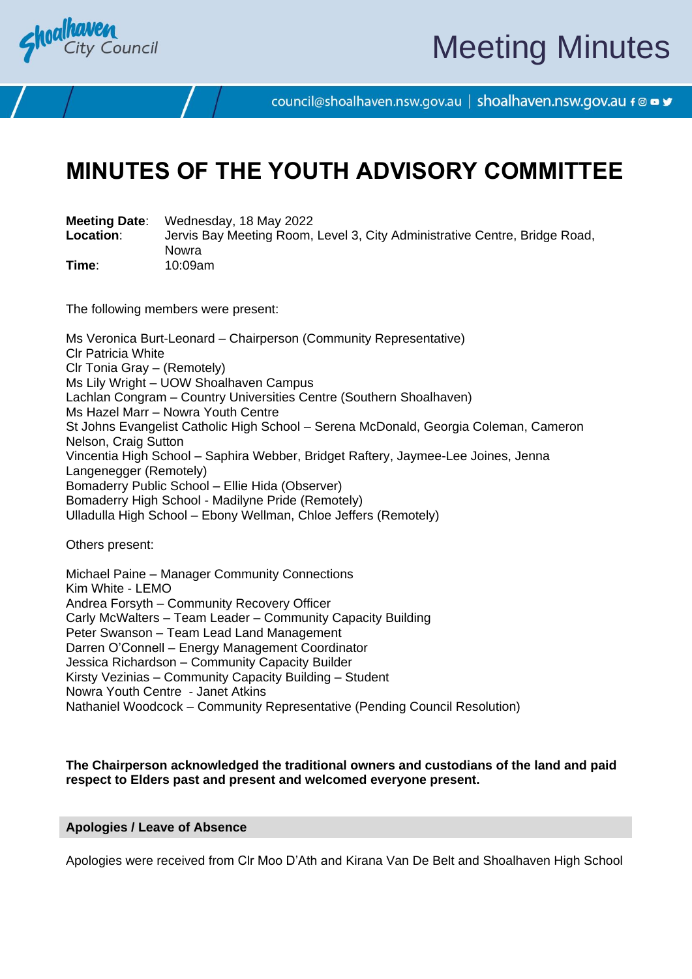

# Meeting Minutes

council@shoalhaven.nsw.gov.au | shoalhaven.nsw.gov.au f @ ■ y

# **MINUTES OF THE YOUTH ADVISORY COMMITTEE**

**Meeting Date**: Wednesday, 18 May 2022

**Location**: Jervis Bay Meeting Room, Level 3, City Administrative Centre, Bridge Road, Nowra **Time**: 10:09am

The following members were present:

Ms Veronica Burt-Leonard – Chairperson (Community Representative) Clr Patricia White Clr Tonia Gray – (Remotely) Ms Lily Wright – UOW Shoalhaven Campus Lachlan Congram – Country Universities Centre (Southern Shoalhaven) Ms Hazel Marr – Nowra Youth Centre St Johns Evangelist Catholic High School – Serena McDonald, Georgia Coleman, Cameron Nelson, Craig Sutton Vincentia High School – Saphira Webber, Bridget Raftery, Jaymee-Lee Joines, Jenna Langenegger (Remotely) Bomaderry Public School – Ellie Hida (Observer) Bomaderry High School - Madilyne Pride (Remotely) Ulladulla High School – Ebony Wellman, Chloe Jeffers (Remotely)

Others present:

Michael Paine – Manager Community Connections Kim White - LEMO Andrea Forsyth – Community Recovery Officer Carly McWalters – Team Leader – Community Capacity Building Peter Swanson – Team Lead Land Management Darren O'Connell – Energy Management Coordinator Jessica Richardson – Community Capacity Builder Kirsty Vezinias – Community Capacity Building – Student Nowra Youth Centre - Janet Atkins Nathaniel Woodcock – Community Representative (Pending Council Resolution)

#### **The Chairperson acknowledged the traditional owners and custodians of the land and paid respect to Elders past and present and welcomed everyone present.**

#### **Apologies / Leave of Absence**

Apologies were received from Clr Moo D'Ath and Kirana Van De Belt and Shoalhaven High School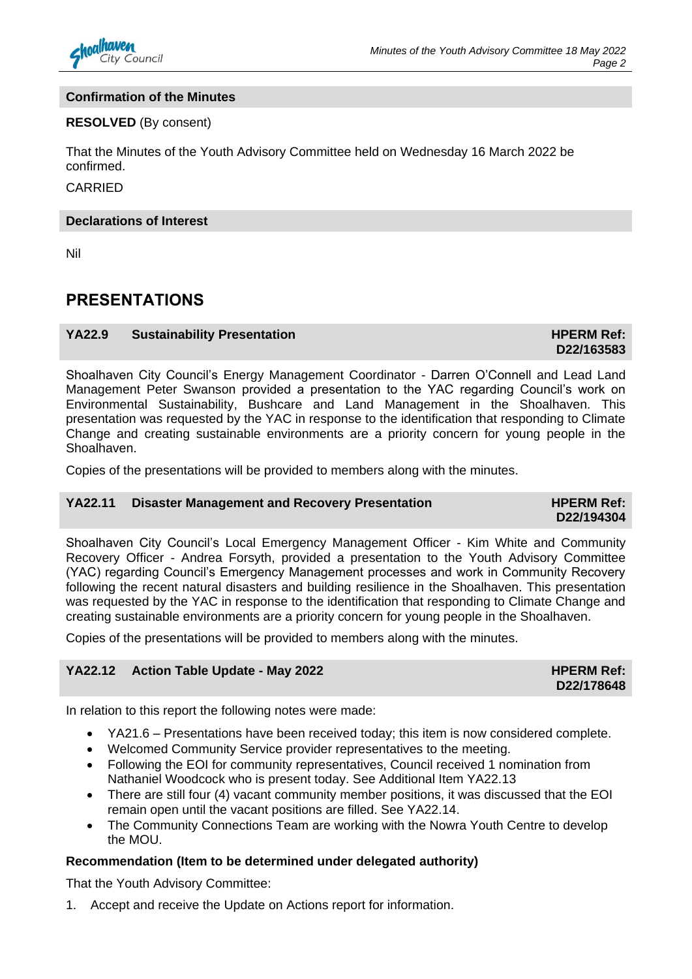

#### **Confirmation of the Minutes**

#### **RESOLVED** (By consent)

That the Minutes of the Youth Advisory Committee held on Wednesday 16 March 2022 be confirmed.

#### CARRIED

#### **Declarations of Interest**

Nil

# **PRESENTATIONS**

#### **YA22.9** Sustainability Presentation **HPERM Ref: HPERM Ref:**  $\blacksquare$

**D22/163583**

Shoalhaven City Council's Energy Management Coordinator - Darren O'Connell and Lead Land Management Peter Swanson provided a presentation to the YAC regarding Council's work on Environmental Sustainability, Bushcare and Land Management in the Shoalhaven. This presentation was requested by the YAC in response to the identification that responding to Climate Change and creating sustainable environments are a priority concern for young people in the Shoalhaven.

Copies of the presentations will be provided to members along with the minutes.

#### **YA22.11 Disaster Management and Recovery Presentation HPERM Ref:**

**D22/194304**

Shoalhaven City Council's Local Emergency Management Officer - Kim White and Community Recovery Officer - Andrea Forsyth, provided a presentation to the Youth Advisory Committee (YAC) regarding Council's Emergency Management processes and work in Community Recovery following the recent natural disasters and building resilience in the Shoalhaven. This presentation was requested by the YAC in response to the identification that responding to Climate Change and creating sustainable environments are a priority concern for young people in the Shoalhaven.

Copies of the presentations will be provided to members along with the minutes.

#### **YA22.12** Action Table Update - May 2022 **HPERM Ref: HPERM Ref:**

**D22/178648**

In relation to this report the following notes were made:

- YA21.6 Presentations have been received today; this item is now considered complete.
- Welcomed Community Service provider representatives to the meeting.
- Following the EOI for community representatives, Council received 1 nomination from Nathaniel Woodcock who is present today. See Additional Item YA22.13
- There are still four (4) vacant community member positions, it was discussed that the EOI remain open until the vacant positions are filled. See YA22.14.
- The Community Connections Team are working with the Nowra Youth Centre to develop the MOU.

#### **Recommendation (Item to be determined under delegated authority)**

That the Youth Advisory Committee:

1. Accept and receive the Update on Actions report for information.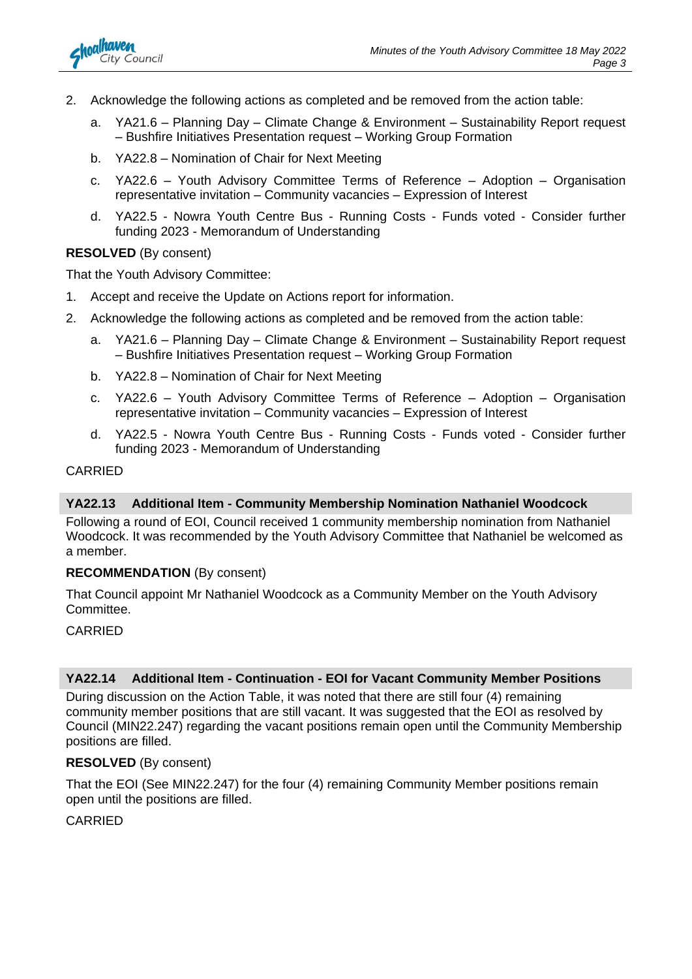

- 2. Acknowledge the following actions as completed and be removed from the action table:
	- a. YA21.6 Planning Day Climate Change & Environment Sustainability Report request – Bushfire Initiatives Presentation request – Working Group Formation
	- b. YA22.8 Nomination of Chair for Next Meeting
	- c. YA22.6 Youth Advisory Committee Terms of Reference Adoption Organisation representative invitation – Community vacancies – Expression of Interest
	- d. YA22.5 Nowra Youth Centre Bus Running Costs Funds voted Consider further funding 2023 - Memorandum of Understanding

#### **RESOLVED** (By consent)

That the Youth Advisory Committee:

- 1. Accept and receive the Update on Actions report for information.
- 2. Acknowledge the following actions as completed and be removed from the action table:
	- a. YA21.6 Planning Day Climate Change & Environment Sustainability Report request – Bushfire Initiatives Presentation request – Working Group Formation
	- b. YA22.8 Nomination of Chair for Next Meeting
	- c. YA22.6 Youth Advisory Committee Terms of Reference Adoption Organisation representative invitation – Community vacancies – Expression of Interest
	- d. YA22.5 Nowra Youth Centre Bus Running Costs Funds voted Consider further funding 2023 - Memorandum of Understanding

#### **CARRIED**

#### **YA22.13 Additional Item - Community Membership Nomination Nathaniel Woodcock**

Following a round of EOI, Council received 1 community membership nomination from Nathaniel Woodcock. It was recommended by the Youth Advisory Committee that Nathaniel be welcomed as a member.

#### **RECOMMENDATION** (By consent)

That Council appoint Mr Nathaniel Woodcock as a Community Member on the Youth Advisory Committee.

#### CARRIED

#### **YA22.14 Additional Item - Continuation - EOI for Vacant Community Member Positions**

During discussion on the Action Table, it was noted that there are still four (4) remaining community member positions that are still vacant. It was suggested that the EOI as resolved by Council (MIN22.247) regarding the vacant positions remain open until the Community Membership positions are filled.

#### **RESOLVED** (By consent)

That the EOI (See MIN22.247) for the four (4) remaining Community Member positions remain open until the positions are filled.

#### CARRIED